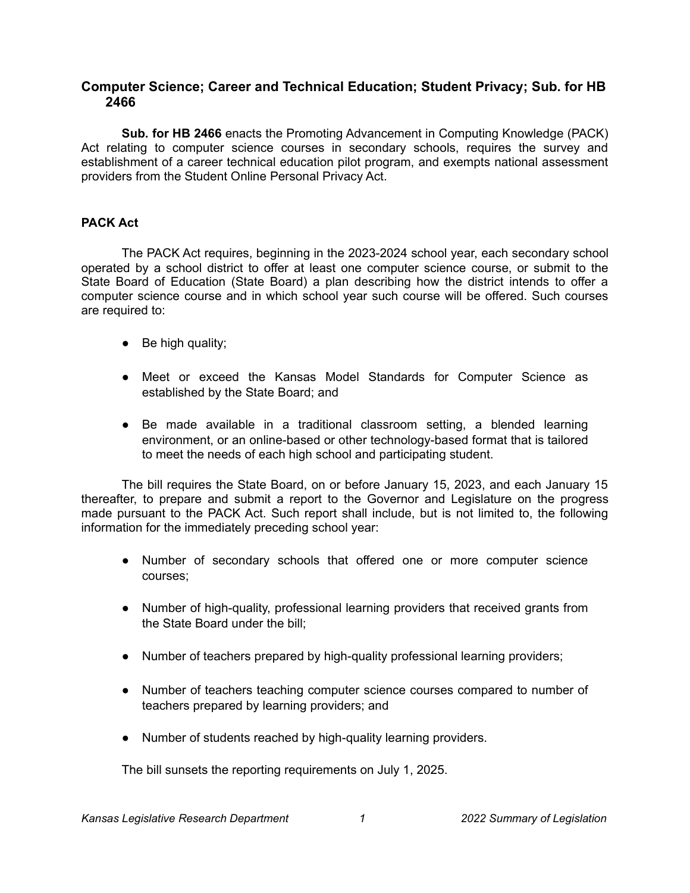# **Computer Science; Career and Technical Education; Student Privacy; Sub. for HB 2466**

**Sub. for HB 2466** enacts the Promoting Advancement in Computing Knowledge (PACK) Act relating to computer science courses in secondary schools, requires the survey and establishment of a career technical education pilot program, and exempts national assessment providers from the Student Online Personal Privacy Act.

## **PACK Act**

The PACK Act requires, beginning in the 2023-2024 school year, each secondary school operated by a school district to offer at least one computer science course, or submit to the State Board of Education (State Board) a plan describing how the district intends to offer a computer science course and in which school year such course will be offered. Such courses are required to:

- $\bullet$  Be high quality;
- Meet or exceed the Kansas Model Standards for Computer Science as established by the State Board; and
- Be made available in a traditional classroom setting, a blended learning environment, or an online-based or other technology-based format that is tailored to meet the needs of each high school and participating student.

The bill requires the State Board, on or before January 15, 2023, and each January 15 thereafter, to prepare and submit a report to the Governor and Legislature on the progress made pursuant to the PACK Act. Such report shall include, but is not limited to, the following information for the immediately preceding school year:

- Number of secondary schools that offered one or more computer science courses;
- Number of high-quality, professional learning providers that received grants from the State Board under the bill;
- Number of teachers prepared by high-quality professional learning providers;
- Number of teachers teaching computer science courses compared to number of teachers prepared by learning providers; and
- Number of students reached by high-quality learning providers.

The bill sunsets the reporting requirements on July 1, 2025.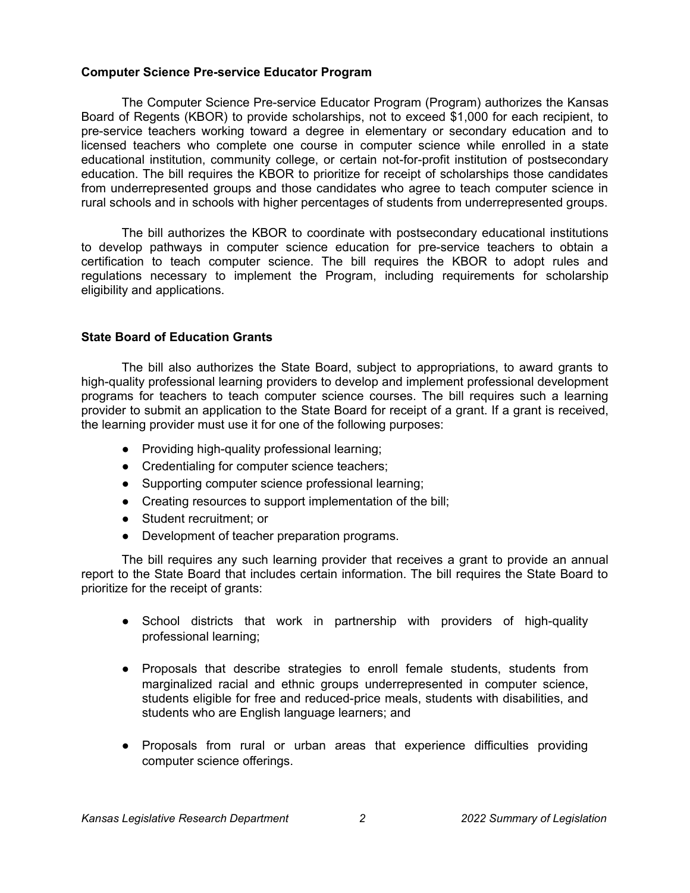### **Computer Science Pre-service Educator Program**

The Computer Science Pre-service Educator Program (Program) authorizes the Kansas Board of Regents (KBOR) to provide scholarships, not to exceed \$1,000 for each recipient, to pre-service teachers working toward a degree in elementary or secondary education and to licensed teachers who complete one course in computer science while enrolled in a state educational institution, community college, or certain not-for-profit institution of postsecondary education. The bill requires the KBOR to prioritize for receipt of scholarships those candidates from underrepresented groups and those candidates who agree to teach computer science in rural schools and in schools with higher percentages of students from underrepresented groups.

The bill authorizes the KBOR to coordinate with postsecondary educational institutions to develop pathways in computer science education for pre-service teachers to obtain a certification to teach computer science. The bill requires the KBOR to adopt rules and regulations necessary to implement the Program, including requirements for scholarship eligibility and applications.

### **State Board of Education Grants**

The bill also authorizes the State Board, subject to appropriations, to award grants to high-quality professional learning providers to develop and implement professional development programs for teachers to teach computer science courses. The bill requires such a learning provider to submit an application to the State Board for receipt of a grant. If a grant is received, the learning provider must use it for one of the following purposes:

- Providing high-quality professional learning;
- Credentialing for computer science teachers;
- Supporting computer science professional learning;
- Creating resources to support implementation of the bill;
- Student recruitment; or
- Development of teacher preparation programs.

The bill requires any such learning provider that receives a grant to provide an annual report to the State Board that includes certain information. The bill requires the State Board to prioritize for the receipt of grants:

- School districts that work in partnership with providers of high-quality professional learning;
- Proposals that describe strategies to enroll female students, students from marginalized racial and ethnic groups underrepresented in computer science, students eligible for free and reduced-price meals, students with disabilities, and students who are English language learners; and
- Proposals from rural or urban areas that experience difficulties providing computer science offerings.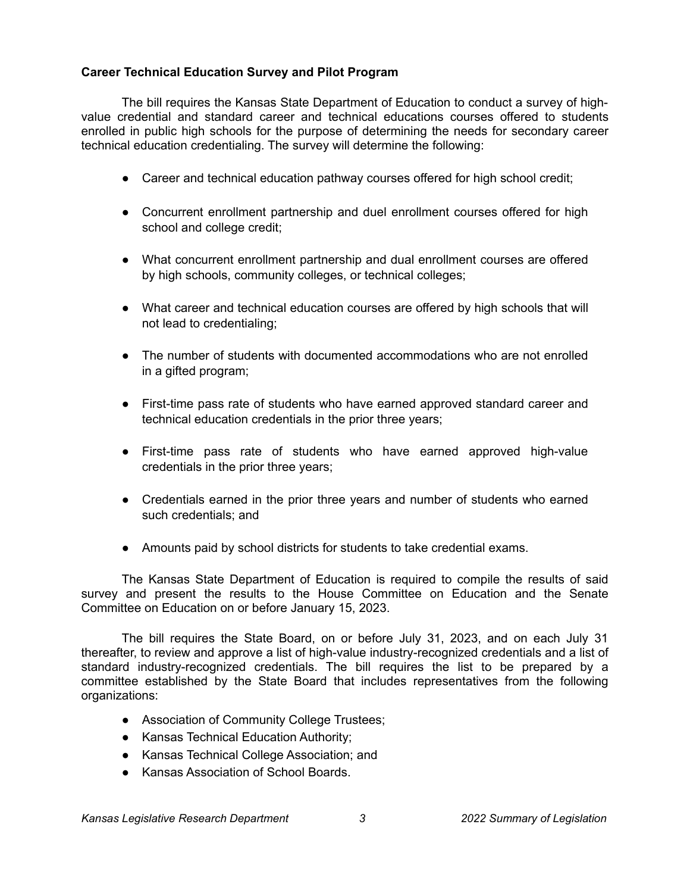## **Career Technical Education Survey and Pilot Program**

The bill requires the Kansas State Department of Education to conduct a survey of highvalue credential and standard career and technical educations courses offered to students enrolled in public high schools for the purpose of determining the needs for secondary career technical education credentialing. The survey will determine the following:

- Career and technical education pathway courses offered for high school credit;
- Concurrent enrollment partnership and duel enrollment courses offered for high school and college credit;
- What concurrent enrollment partnership and dual enrollment courses are offered by high schools, community colleges, or technical colleges;
- What career and technical education courses are offered by high schools that will not lead to credentialing;
- The number of students with documented accommodations who are not enrolled in a gifted program;
- First-time pass rate of students who have earned approved standard career and technical education credentials in the prior three years;
- First-time pass rate of students who have earned approved high-value credentials in the prior three years;
- Credentials earned in the prior three years and number of students who earned such credentials; and
- Amounts paid by school districts for students to take credential exams.

The Kansas State Department of Education is required to compile the results of said survey and present the results to the House Committee on Education and the Senate Committee on Education on or before January 15, 2023.

The bill requires the State Board, on or before July 31, 2023, and on each July 31 thereafter, to review and approve a list of high-value industry-recognized credentials and a list of standard industry-recognized credentials. The bill requires the list to be prepared by a committee established by the State Board that includes representatives from the following organizations:

- Association of Community College Trustees;
- Kansas Technical Education Authority;
- Kansas Technical College Association; and
- Kansas Association of School Boards